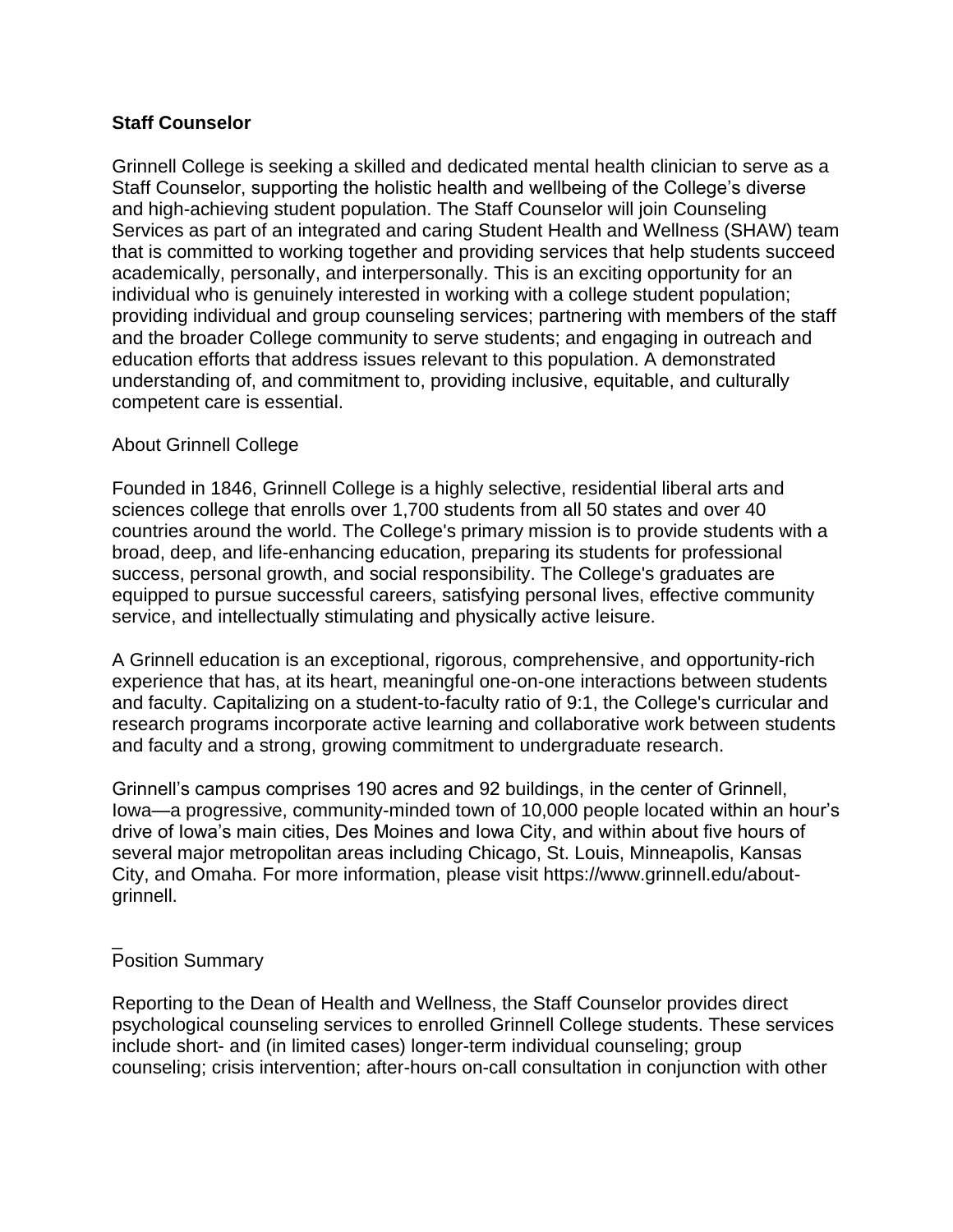### **Staff Counselor**

Grinnell College is seeking a skilled and dedicated mental health clinician to serve as a Staff Counselor, supporting the holistic health and wellbeing of the College's diverse and high-achieving student population. The Staff Counselor will join Counseling Services as part of an integrated and caring Student Health and Wellness (SHAW) team that is committed to working together and providing services that help students succeed academically, personally, and interpersonally. This is an exciting opportunity for an individual who is genuinely interested in working with a college student population; providing individual and group counseling services; partnering with members of the staff and the broader College community to serve students; and engaging in outreach and education efforts that address issues relevant to this population. A demonstrated understanding of, and commitment to, providing inclusive, equitable, and culturally competent care is essential.

## About Grinnell College

Founded in 1846, Grinnell College is a highly selective, residential liberal arts and sciences college that enrolls over 1,700 students from all 50 states and over 40 countries around the world. The College's primary mission is to provide students with a broad, deep, and life-enhancing education, preparing its students for professional success, personal growth, and social responsibility. The College's graduates are equipped to pursue successful careers, satisfying personal lives, effective community service, and intellectually stimulating and physically active leisure.

A Grinnell education is an exceptional, rigorous, comprehensive, and opportunity-rich experience that has, at its heart, meaningful one-on-one interactions between students and faculty. Capitalizing on a student-to-faculty ratio of 9:1, the College's curricular and research programs incorporate active learning and collaborative work between students and faculty and a strong, growing commitment to undergraduate research.

Grinnell's campus comprises 190 acres and 92 buildings, in the center of Grinnell, Iowa—a progressive, community-minded town of 10,000 people located within an hour's drive of Iowa's main cities, Des Moines and Iowa City, and within about five hours of several major metropolitan areas including Chicago, St. Louis, Minneapolis, Kansas City, and Omaha. For more information, please visit https://www.grinnell.edu/aboutgrinnell.

#### \_ Position Summary

Reporting to the Dean of Health and Wellness, the Staff Counselor provides direct psychological counseling services to enrolled Grinnell College students. These services include short- and (in limited cases) longer-term individual counseling; group counseling; crisis intervention; after-hours on-call consultation in conjunction with other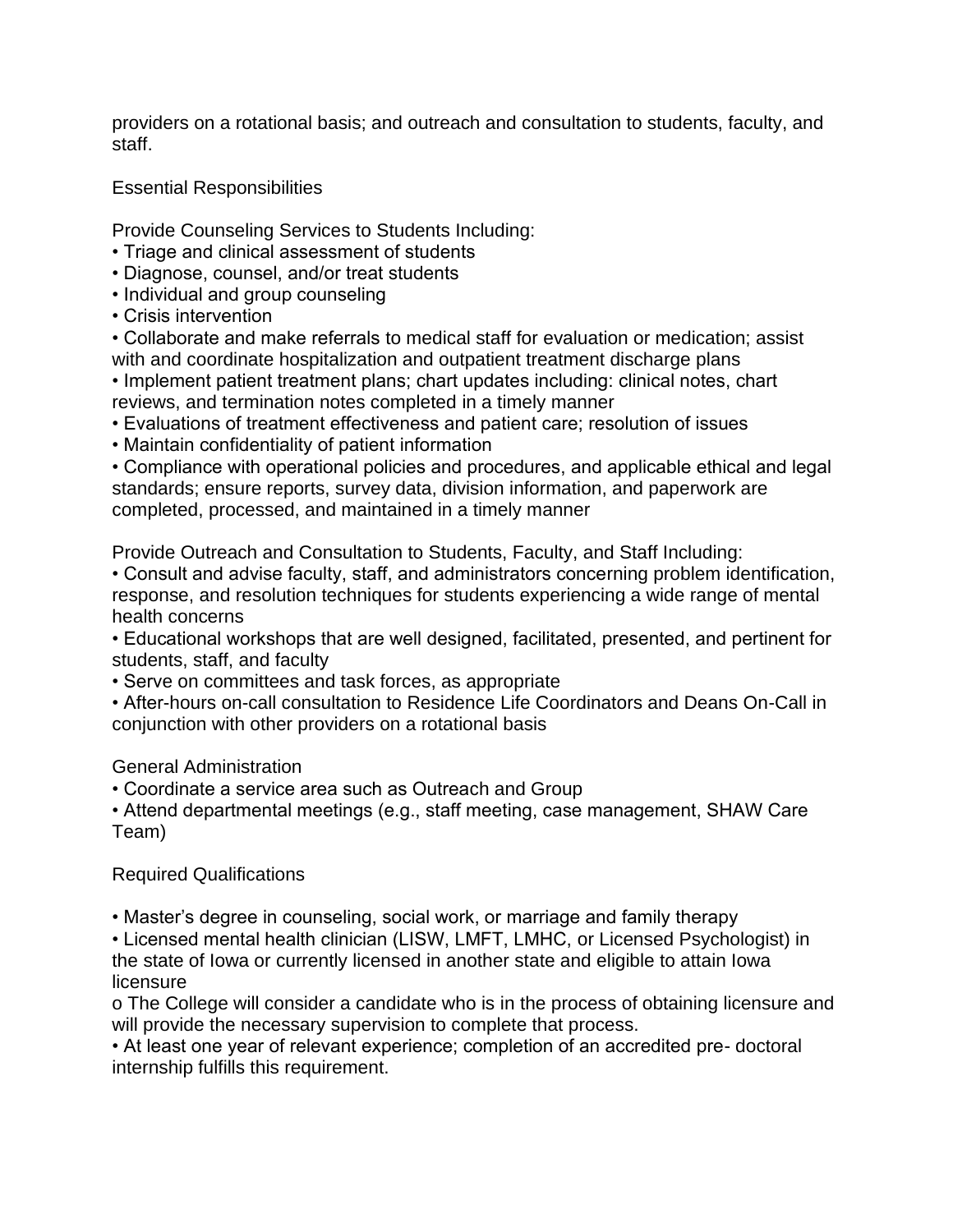providers on a rotational basis; and outreach and consultation to students, faculty, and staff.

Essential Responsibilities

Provide Counseling Services to Students Including:

- Triage and clinical assessment of students
- Diagnose, counsel, and/or treat students
- Individual and group counseling
- Crisis intervention

• Collaborate and make referrals to medical staff for evaluation or medication; assist with and coordinate hospitalization and outpatient treatment discharge plans

• Implement patient treatment plans; chart updates including: clinical notes, chart reviews, and termination notes completed in a timely manner

- Evaluations of treatment effectiveness and patient care; resolution of issues
- Maintain confidentiality of patient information

• Compliance with operational policies and procedures, and applicable ethical and legal standards; ensure reports, survey data, division information, and paperwork are completed, processed, and maintained in a timely manner

Provide Outreach and Consultation to Students, Faculty, and Staff Including:

• Consult and advise faculty, staff, and administrators concerning problem identification, response, and resolution techniques for students experiencing a wide range of mental health concerns

• Educational workshops that are well designed, facilitated, presented, and pertinent for students, staff, and faculty

• Serve on committees and task forces, as appropriate

• After-hours on-call consultation to Residence Life Coordinators and Deans On-Call in conjunction with other providers on a rotational basis

General Administration

• Coordinate a service area such as Outreach and Group

• Attend departmental meetings (e.g., staff meeting, case management, SHAW Care Team)

# Required Qualifications

• Master's degree in counseling, social work, or marriage and family therapy

• Licensed mental health clinician (LISW, LMFT, LMHC, or Licensed Psychologist) in the state of Iowa or currently licensed in another state and eligible to attain Iowa licensure

o The College will consider a candidate who is in the process of obtaining licensure and will provide the necessary supervision to complete that process.

• At least one year of relevant experience; completion of an accredited pre- doctoral internship fulfills this requirement.